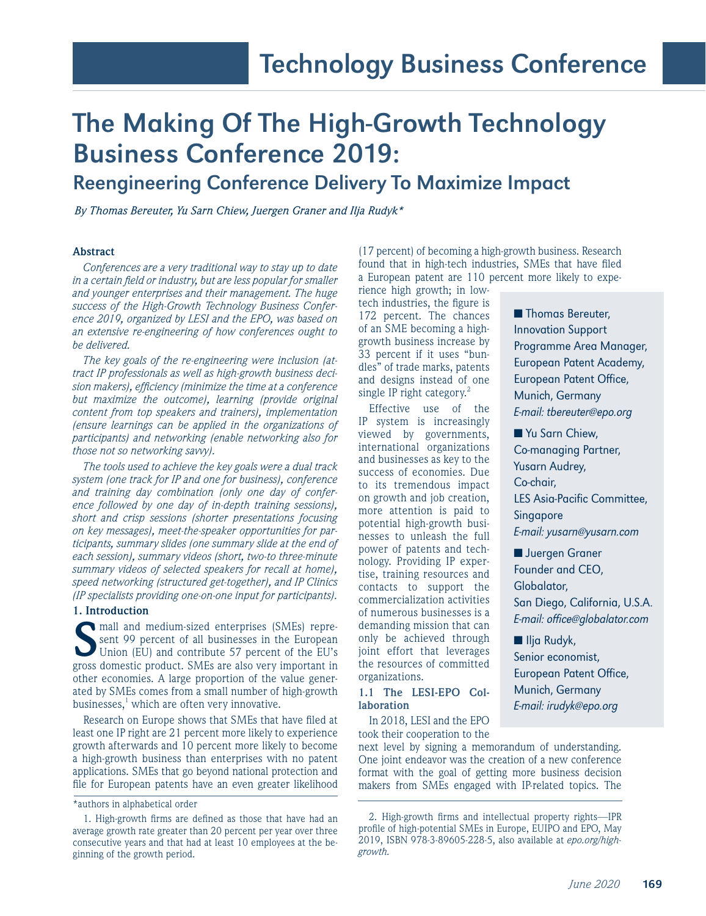# The Making Of The High-Growth Technology Business Conference 2019:

# Reengineering Conference Delivery To Maximize Impact

*By Thomas Bereuter, Yu Sarn Chiew, Juergen Graner and Ilja Rudyk\**

# **Abstract**

*Conferences are a very traditional way to stay up to date in a certain field or industry, but are less popular for smaller and younger enterprises and their management. The huge success of the High-Growth Technology Business Conference 2019, organized by LESI and the EPO, was based on an extensive re-engineering of how conferences ought to be delivered.*

*The key goals of the re-engineering were inclusion (attract IP professionals as well as high-growth business decision makers), efficiency (minimize the time at a conference but maximize the outcome), learning (provide original content from top speakers and trainers), implementation (ensure learnings can be applied in the organizations of participants) and networking (enable networking also for those not so networking savvy).*

*The tools used to achieve the key goals were a dual track system (one track for IP and one for business), conference and training day combination (only one day of conference followed by one day of in-depth training sessions), short and crisp sessions (shorter presentations focusing on key messages), meet-the-speaker opportunities for participants, summary slides (one summary slide at the end of each session), summary videos (short, two-to three-minute summary videos of selected speakers for recall at home), speed networking (structured get-together), and IP Clinics (IP specialists providing one-on-one input for participants).*

#### **1. Introduction**

**S**mall and medium-sized enterprises (SMEs) represent 99 percent of all businesses in the European Union (EU) and contribute 57 percent of the EU's great democratic product SMEs are also you important in sent 99 percent of all businesses in the European gross domestic product. SMEs are also very important in other economies. A large proportion of the value generated by SMEs comes from a small number of high-growth businesses,<sup>1</sup> which are often very innovative.

Research on Europe shows that SMEs that have filed at least one IP right are 21 percent more likely to experience growth afterwards and 10 percent more likely to become a high-growth business than enterprises with no patent applications. SMEs that go beyond national protection and file for European patents have an even greater likelihood

(17 percent) of becoming a high-growth business. Research found that in high-tech industries, SMEs that have filed a European patent are 110 percent more likely to expe-

rience high growth; in lowtech industries, the figure is 172 percent. The chances of an SME becoming a highgrowth business increase by 33 percent if it uses "bundles" of trade marks, patents and designs instead of one single IP right category. $2$ 

Effective use of the IP system is increasingly viewed by governments, international organizations and businesses as key to the success of economies. Due to its tremendous impact on growth and job creation, more attention is paid to potential high-growth businesses to unleash the full power of patents and technology. Providing IP expertise, training resources and contacts to support the commercialization activities of numerous businesses is a demanding mission that can only be achieved through joint effort that leverages the resources of committed organizations.

## **1.1 The LESI-EPO Collaboration**

In 2018, LESI and the EPO took their cooperation to the

next level by signing a memorandum of understanding. One joint endeavor was the creation of a new conference format with the goal of getting more business decision makers from SMEs engaged with IP-related topics. The

■ Thomas Bereuter, Innovation Support Programme Area Manager, European Patent Academy, European Patent Office, Munich, Germany E-mail: tbereuter@epo.org

■ Yu Sarn Chiew, Co-managing Partner, Yusarn Audrey, Co-chair, LES Asia-Pacific Committee, Singapore E-mail: yusarn@yusarn.com ■ Juergen Graner

Founder and CEO, Globalator, San Diego, California, U.S.A. E-mail: office@globalator.com

■ Ilja Rudyk, Senior economist, European Patent Office, Munich, Germany E-mail: irudyk@epo.org

<sup>\*</sup>authors in alphabetical order

<sup>1.</sup> High-growth firms are defined as those that have had an average growth rate greater than 20 percent per year over three consecutive years and that had at least 10 employees at the beginning of the growth period.

<sup>2.</sup> High-growth firms and intellectual property rights—IPR profile of high-potential SMEs in Europe, EUIPO and EPO, May 2019, ISBN 978-3-89605-228-5, also available at *epo.org/highgrowth.*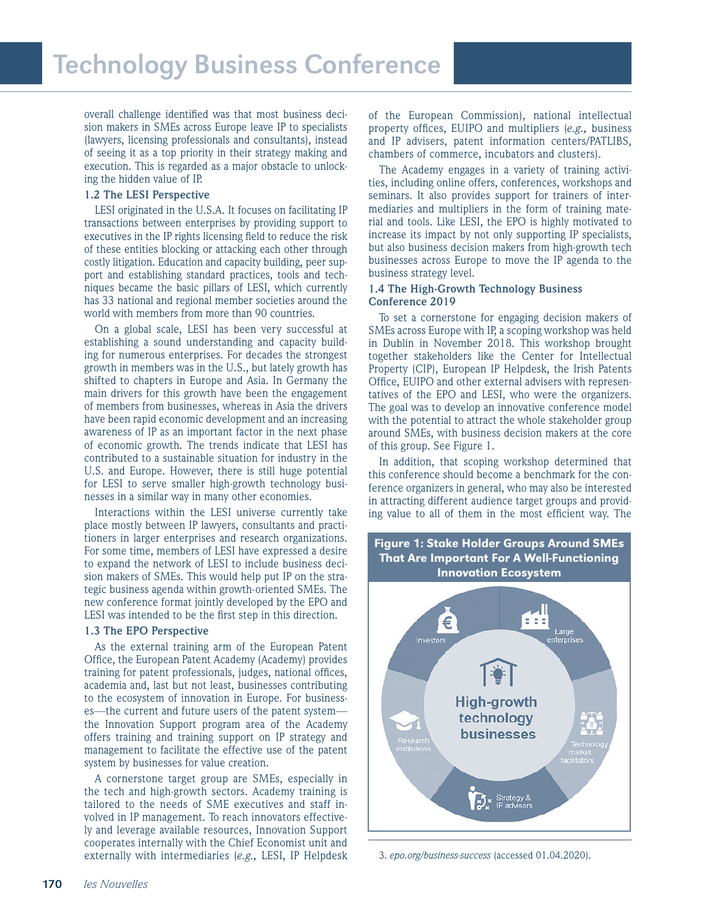overall challenge identified was that most business decision makers in SMEs across Europe leave IP to specialists (lawyers, licensing professionals and consultants), instead of seeing it as a top priority in their strategy making and execution. This is regarded as a major obstacle to unlocking the hidden value of IP.

### **1.2 The LESI Perspective**

LESI originated in the U.S.A. It focuses on facilitating IP transactions between enterprises by providing support to executives in the IP rights licensing field to reduce the risk of these entities blocking or attacking each other through costly litigation. Education and capacity building, peer support and establishing standard practices, tools and techniques became the basic pillars of LESI, which currently has 33 national and regional member societies around the world with members from more than 90 countries.

On a global scale, LESI has been very successful at establishing a sound understanding and capacity building for numerous enterprises. For decades the strongest growth in members was in the U.S., but lately growth has shifted to chapters in Europe and Asia. In Germany the main drivers for this growth have been the engagement of members from businesses, whereas in Asia the drivers have been rapid economic development and an increasing awareness of IP as an important factor in the next phase of economic growth. The trends indicate that LESI has contributed to a sustainable situation for industry in the U.S. and Europe. However, there is still huge potential for LESI to serve smaller high-growth technology businesses in a similar way in many other economies.

Interactions within the LESI universe currently take place mostly between IP lawyers, consultants and practitioners in larger enterprises and research organizations. For some time, members of LESI have expressed a desire to expand the network of LESI to include business decision makers of SMEs. This would help put IP on the strategic business agenda within growth-oriented SMEs. The new conference format jointly developed by the EPO and LESI was intended to be the first step in this direction.

#### **1.3 The EPO Perspective**

As the external training arm of the European Patent Office, the European Patent Academy (Academy) provides training for patent professionals, judges, national offices, academia and, last but not least, businesses contributing to the ecosystem of innovation in Europe. For businesses—the current and future users of the patent system the Innovation Support program area of the Academy offers training and training support on IP strategy and management to facilitate the effective use of the patent system by businesses for value creation.

A cornerstone target group are SMEs, especially in the tech and high-growth sectors. Academy training is tailored to the needs of SME executives and staff involved in IP management. To reach innovators effectively and leverage available resources, Innovation Support cooperates internally with the Chief Economist unit and externally with intermediaries (*e.g.,* LESI, IP Helpdesk

of the European Commission), national intellectual property offices, EUIPO and multipliers (*e.g.,* business and IP advisers, patent information centers/PATLIBS, chambers of commerce, incubators and clusters).

The Academy engages in a variety of training activities, including online offers, conferences, workshops and seminars. It also provides support for trainers of intermediaries and multipliers in the form of training material and tools. Like LESI, the EPO is highly motivated to increase its impact by not only supporting IP specialists, but also business decision makers from high-growth tech businesses across Europe to move the IP agenda to the business strategy level.

#### **1.4 The High-Growth Technology Business Conference 2019**

To set a cornerstone for engaging decision makers of SMEs across Europe with IP, a scoping workshop was held in Dublin in November 2018. This workshop brought together stakeholders like the Center for Intellectual Property (CIP), European IP Helpdesk, the Irish Patents Office, EUIPO and other external advisers with representatives of the EPO and LESI, who were the organizers. The goal was to develop an innovative conference model with the potential to attract the whole stakeholder group around SMEs, with business decision makers at the core of this group. See Figure 1.

In addition, that scoping workshop determined that this conference should become a benchmark for the conference organizers in general, who may also be interested in attracting different audience target groups and providing value to all of them in the most efficient way. The



3. *epo.org/business-success* (accessed 01.04.2020).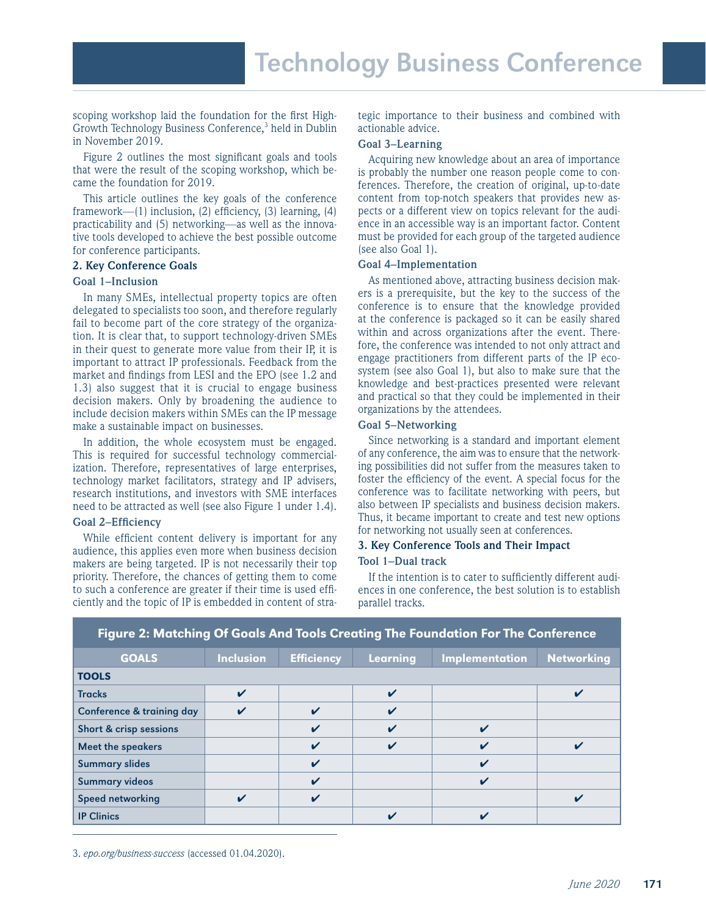scoping workshop laid the foundation for the first High-Growth Technology Business Conference,<sup>3</sup> held in Dublin in November 2019.

Figure 2 outlines the most significant goals and tools that were the result of the scoping workshop, which became the foundation for 2019.

This article outlines the key goals of the conference framework—(1) inclusion, (2) efficiency, (3) learning, (4) practicability and (5) networking—as well as the innovative tools developed to achieve the best possible outcome for conference participants.

#### **2. Key Conference Goals**

# **Goal 1–Inclusion**

In many SMEs, intellectual property topics are often delegated to specialists too soon, and therefore regularly fail to become part of the core strategy of the organization. It is clear that, to support technology-driven SMEs in their quest to generate more value from their IP, it is important to attract IP professionals. Feedback from the market and findings from LESI and the EPO (see 1.2 and 1.3) also suggest that it is crucial to engage business decision makers. Only by broadening the audience to include decision makers within SMEs can the IP message make a sustainable impact on businesses.

In addition, the whole ecosystem must be engaged. This is required for successful technology commercialization. Therefore, representatives of large enterprises, technology market facilitators, strategy and IP advisers, research institutions, and investors with SME interfaces need to be attracted as well (see also Figure 1 under 1.4).

#### **Goal 2–Efficiency**

While efficient content delivery is important for any audience, this applies even more when business decision makers are being targeted. IP is not necessarily their top priority. Therefore, the chances of getting them to come to such a conference are greater if their time is used efficiently and the topic of IP is embedded in content of strategic importance to their business and combined with actionable advice.

# **Goal 3–Learning**

Acquiring new knowledge about an area of importance is probably the number one reason people come to conferences. Therefore, the creation of original, up-to-date content from top-notch speakers that provides new aspects or a different view on topics relevant for the audience in an accessible way is an important factor. Content must be provided for each group of the targeted audience (see also Goal 1).

#### **Goal 4–Implementation**

As mentioned above, attracting business decision makers is a prerequisite, but the key to the success of the conference is to ensure that the knowledge provided at the conference is packaged so it can be easily shared within and across organizations after the event. Therefore, the conference was intended to not only attract and engage practitioners from different parts of the IP ecosystem (see also Goal 1), but also to make sure that the knowledge and best-practices presented were relevant and practical so that they could be implemented in their organizations by the attendees.

# **Goal 5–Networking**

Since networking is a standard and important element of any conference, the aim was to ensure that the networking possibilities did not suffer from the measures taken to foster the efficiency of the event. A special focus for the conference was to facilitate networking with peers, but also between IP specialists and business decision makers. Thus, it became important to create and test new options for networking not usually seen at conferences.

# **3. Key Conference Tools and Their Impact Tool 1–Dual track**

If the intention is to cater to sufficiently different audiences in one conference, the best solution is to establish parallel tracks.

| Figure 2. Matching Of Godis And Tools Creding The Foundation For the Conference |                  |                            |                    |                |                         |
|---------------------------------------------------------------------------------|------------------|----------------------------|--------------------|----------------|-------------------------|
| <b>GOALS</b>                                                                    | <b>Inclusion</b> | <b>Efficiency</b>          | Learning           | Implementation | <b>Networking</b>       |
| <b>TOOLS</b>                                                                    |                  |                            |                    |                |                         |
| <b>Tracks</b>                                                                   | $\checkmark$     |                            | $\boldsymbol{\nu}$ |                | ✔                       |
| <b>Conference &amp; training day</b>                                            | $\mathbf v$      | $\boldsymbol{\mathcal{U}}$ | $\checkmark$       |                |                         |
| Short & crisp sessions                                                          |                  | $\mathbf v$                | V                  | V              |                         |
| <b>Meet the speakers</b>                                                        |                  | $\boldsymbol{\mathcal{U}}$ |                    |                | $\overline{\mathbf{v}}$ |
| <b>Summary slides</b>                                                           |                  | $\mathbf v$                |                    | ✔              |                         |
| <b>Summary videos</b>                                                           |                  | $\mathbf v$                |                    | $\mathbf v$    |                         |
| <b>Speed networking</b>                                                         | $\mathbf{v}$     | ✓                          |                    |                | $\overline{\mathbf{v}}$ |
| <b>IP Clinics</b>                                                               |                  |                            | ✔                  | V              |                         |

# Figure 2: Matching Of Goals And Tools Creating The Foundation For The Conference

3. *epo.org/business-success* (accessed 01.04.2020).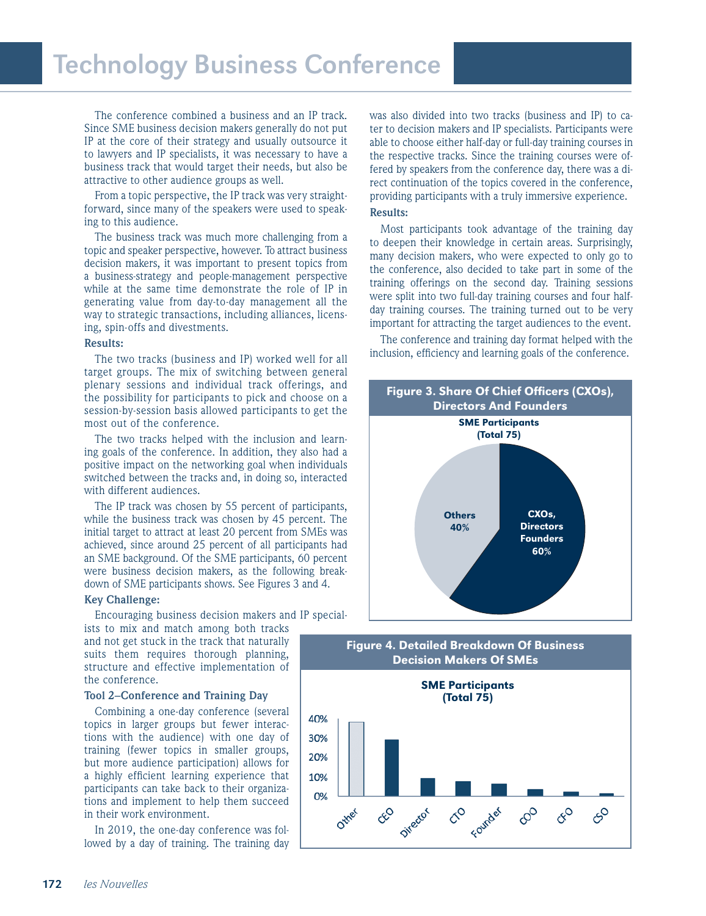# Technology Business Conference

The conference combined a business and an IP track. Since SME business decision makers generally do not put IP at the core of their strategy and usually outsource it to lawyers and IP specialists, it was necessary to have a business track that would target their needs, but also be attractive to other audience groups as well.

From a topic perspective, the IP track was very straightforward, since many of the speakers were used to speaking to this audience.

The business track was much more challenging from a topic and speaker perspective, however. To attract business decision makers, it was important to present topics from a business-strategy and people-management perspective while at the same time demonstrate the role of IP in generating value from day-to-day management all the way to strategic transactions, including alliances, licensing, spin-offs and divestments.

#### **Results:**

The two tracks (business and IP) worked well for all target groups. The mix of switching between general plenary sessions and individual track offerings, and the possibility for participants to pick and choose on a session-by-session basis allowed participants to get the most out of the conference.

The two tracks helped with the inclusion and learning goals of the conference. In addition, they also had a positive impact on the networking goal when individuals switched between the tracks and, in doing so, interacted with different audiences.

The IP track was chosen by 55 percent of participants, while the business track was chosen by 45 percent. The initial target to attract at least 20 percent from SMEs was achieved, since around 25 percent of all participants had an SME background. Of the SME participants, 60 percent were business decision makers, as the following breakdown of SME participants shows. See Figures 3 and 4.

#### **Key Challenge:**

Encouraging business decision makers and IP special-

ists to mix and match among both tracks and not get stuck in the track that naturally suits them requires thorough planning, structure and effective implementation of the conference.

#### **Tool 2–Conference and Training Day**

Combining a one-day conference (several topics in larger groups but fewer interactions with the audience) with one day of training (fewer topics in smaller groups, but more audience participation) allows for a highly efficient learning experience that participants can take back to their organizations and implement to help them succeed in their work environment.

In 2019, the one-day conference was followed by a day of training. The training day was also divided into two tracks (business and IP) to cater to decision makers and IP specialists. Participants were able to choose either half-day or full-day training courses in the respective tracks. Since the training courses were offered by speakers from the conference day, there was a direct continuation of the topics covered in the conference, providing participants with a truly immersive experience.

# **Results:**

Most participants took advantage of the training day to deepen their knowledge in certain areas. Surprisingly, many decision makers, who were expected to only go to the conference, also decided to take part in some of the training offerings on the second day. Training sessions were split into two full-day training courses and four halfday training courses. The training turned out to be very important for attracting the target audiences to the event.

The conference and training day format helped with the inclusion, efficiency and learning goals of the conference.



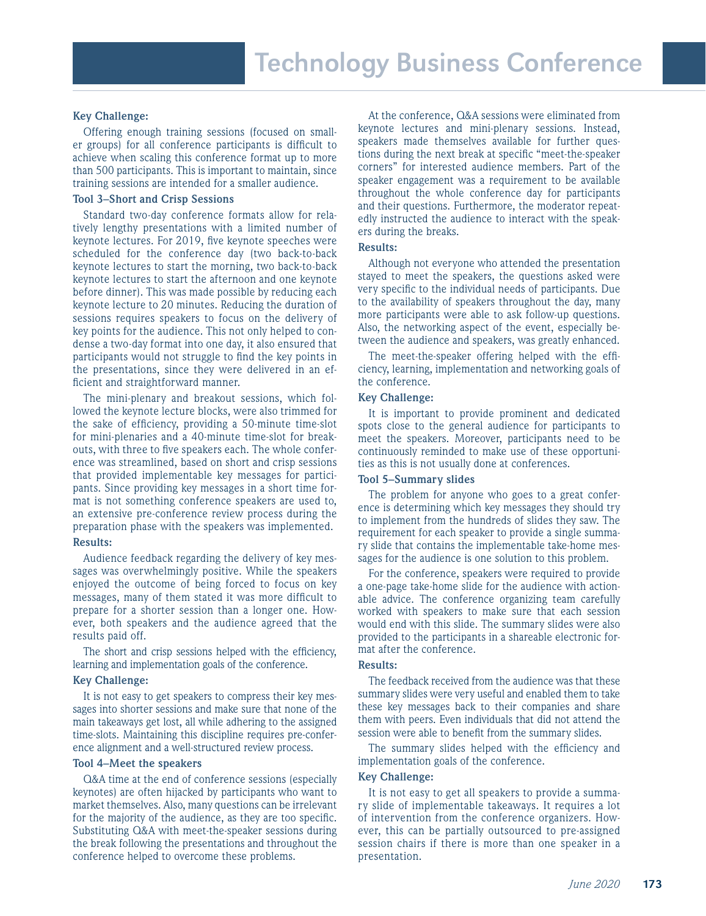#### **Key Challenge:**

Offering enough training sessions (focused on smaller groups) for all conference participants is difficult to achieve when scaling this conference format up to more than 500 participants. This is important to maintain, since training sessions are intended for a smaller audience.

#### **Tool 3–Short and Crisp Sessions**

Standard two-day conference formats allow for relatively lengthy presentations with a limited number of keynote lectures. For 2019, five keynote speeches were scheduled for the conference day (two back-to-back keynote lectures to start the morning, two back-to-back keynote lectures to start the afternoon and one keynote before dinner). This was made possible by reducing each keynote lecture to 20 minutes. Reducing the duration of sessions requires speakers to focus on the delivery of key points for the audience. This not only helped to condense a two-day format into one day, it also ensured that participants would not struggle to find the key points in the presentations, since they were delivered in an efficient and straightforward manner.

The mini-plenary and breakout sessions, which followed the keynote lecture blocks, were also trimmed for the sake of efficiency, providing a 50-minute time-slot for mini-plenaries and a 40-minute time-slot for breakouts, with three to five speakers each. The whole conference was streamlined, based on short and crisp sessions that provided implementable key messages for participants. Since providing key messages in a short time format is not something conference speakers are used to, an extensive pre-conference review process during the preparation phase with the speakers was implemented.

#### **Results:**

Audience feedback regarding the delivery of key messages was overwhelmingly positive. While the speakers enjoyed the outcome of being forced to focus on key messages, many of them stated it was more difficult to prepare for a shorter session than a longer one. However, both speakers and the audience agreed that the results paid off.

The short and crisp sessions helped with the efficiency, learning and implementation goals of the conference.

#### **Key Challenge:**

It is not easy to get speakers to compress their key messages into shorter sessions and make sure that none of the main takeaways get lost, all while adhering to the assigned time-slots. Maintaining this discipline requires pre-conference alignment and a well-structured review process.

#### **Tool 4–Meet the speakers**

Q&A time at the end of conference sessions (especially keynotes) are often hijacked by participants who want to market themselves. Also, many questions can be irrelevant for the majority of the audience, as they are too specific. Substituting Q&A with meet-the-speaker sessions during the break following the presentations and throughout the conference helped to overcome these problems.

At the conference, Q&A sessions were eliminated from keynote lectures and mini-plenary sessions. Instead, speakers made themselves available for further questions during the next break at specific "meet-the-speaker corners" for interested audience members. Part of the speaker engagement was a requirement to be available throughout the whole conference day for participants and their questions. Furthermore, the moderator repeatedly instructed the audience to interact with the speakers during the breaks.

#### **Results:**

Although not everyone who attended the presentation stayed to meet the speakers, the questions asked were very specific to the individual needs of participants. Due to the availability of speakers throughout the day, many more participants were able to ask follow-up questions. Also, the networking aspect of the event, especially between the audience and speakers, was greatly enhanced.

The meet-the-speaker offering helped with the efficiency, learning, implementation and networking goals of the conference.

#### **Key Challenge:**

It is important to provide prominent and dedicated spots close to the general audience for participants to meet the speakers. Moreover, participants need to be continuously reminded to make use of these opportunities as this is not usually done at conferences.

#### **Tool 5–Summary slides**

The problem for anyone who goes to a great conference is determining which key messages they should try to implement from the hundreds of slides they saw. The requirement for each speaker to provide a single summary slide that contains the implementable take-home messages for the audience is one solution to this problem.

For the conference, speakers were required to provide a one-page take-home slide for the audience with actionable advice. The conference organizing team carefully worked with speakers to make sure that each session would end with this slide. The summary slides were also provided to the participants in a shareable electronic format after the conference.

#### **Results:**

The feedback received from the audience was that these summary slides were very useful and enabled them to take these key messages back to their companies and share them with peers. Even individuals that did not attend the session were able to benefit from the summary slides.

The summary slides helped with the efficiency and implementation goals of the conference.

#### **Key Challenge:**

It is not easy to get all speakers to provide a summary slide of implementable takeaways. It requires a lot of intervention from the conference organizers. However, this can be partially outsourced to pre-assigned session chairs if there is more than one speaker in a presentation.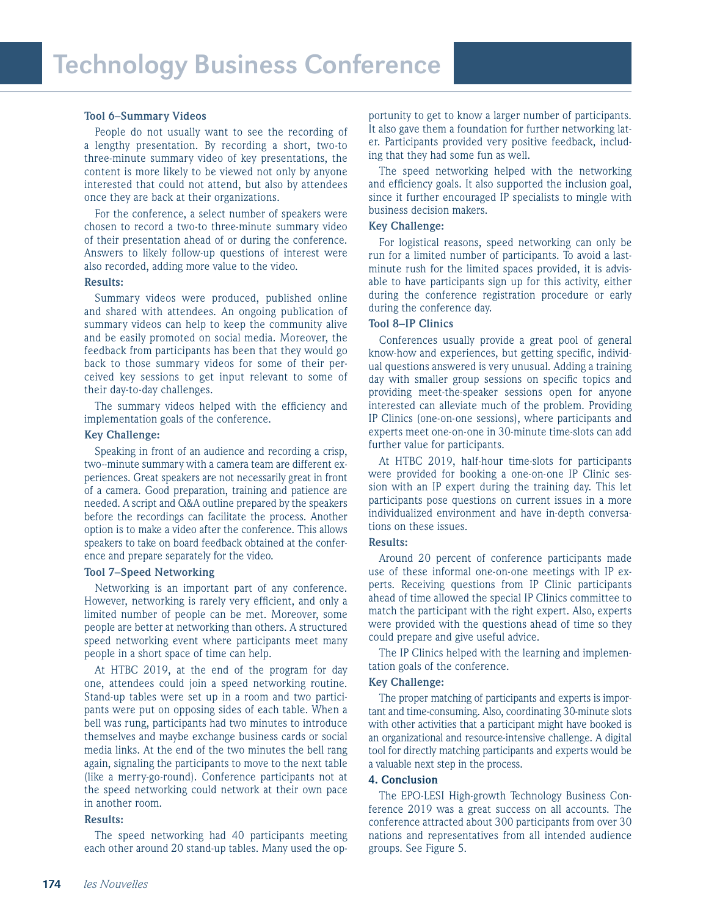#### **Tool 6–Summary Videos**

People do not usually want to see the recording of a lengthy presentation. By recording a short, two-to three-minute summary video of key presentations, the content is more likely to be viewed not only by anyone interested that could not attend, but also by attendees once they are back at their organizations.

For the conference, a select number of speakers were chosen to record a two-to three-minute summary video of their presentation ahead of or during the conference. Answers to likely follow-up questions of interest were also recorded, adding more value to the video.

#### **Results:**

Summary videos were produced, published online and shared with attendees. An ongoing publication of summary videos can help to keep the community alive and be easily promoted on social media. Moreover, the feedback from participants has been that they would go back to those summary videos for some of their perceived key sessions to get input relevant to some of their day-to-day challenges.

The summary videos helped with the efficiency and implementation goals of the conference.

#### **Key Challenge:**

Speaking in front of an audience and recording a crisp, two--minute summary with a camera team are different experiences. Great speakers are not necessarily great in front of a camera. Good preparation, training and patience are needed. A script and Q&A outline prepared by the speakers before the recordings can facilitate the process. Another option is to make a video after the conference. This allows speakers to take on board feedback obtained at the conference and prepare separately for the video.

# **Tool 7–Speed Networking**

Networking is an important part of any conference. However, networking is rarely very efficient, and only a limited number of people can be met. Moreover, some people are better at networking than others. A structured speed networking event where participants meet many people in a short space of time can help.

At HTBC 2019, at the end of the program for day one, attendees could join a speed networking routine. Stand-up tables were set up in a room and two participants were put on opposing sides of each table. When a bell was rung, participants had two minutes to introduce themselves and maybe exchange business cards or social media links. At the end of the two minutes the bell rang again, signaling the participants to move to the next table (like a merry-go-round). Conference participants not at the speed networking could network at their own pace in another room.

#### **Results:**

The speed networking had 40 participants meeting each other around 20 stand-up tables. Many used the opportunity to get to know a larger number of participants. It also gave them a foundation for further networking later. Participants provided very positive feedback, including that they had some fun as well.

The speed networking helped with the networking and efficiency goals. It also supported the inclusion goal, since it further encouraged IP specialists to mingle with business decision makers.

#### **Key Challenge:**

For logistical reasons, speed networking can only be run for a limited number of participants. To avoid a lastminute rush for the limited spaces provided, it is advisable to have participants sign up for this activity, either during the conference registration procedure or early during the conference day.

#### **Tool 8–IP Clinics**

Conferences usually provide a great pool of general know-how and experiences, but getting specific, individual questions answered is very unusual. Adding a training day with smaller group sessions on specific topics and providing meet-the-speaker sessions open for anyone interested can alleviate much of the problem. Providing IP Clinics (one-on-one sessions), where participants and experts meet one-on-one in 30-minute time-slots can add further value for participants.

At HTBC 2019, half-hour time-slots for participants were provided for booking a one-on-one IP Clinic session with an IP expert during the training day. This let participants pose questions on current issues in a more individualized environment and have in-depth conversations on these issues.

#### **Results:**

Around 20 percent of conference participants made use of these informal one-on-one meetings with IP experts. Receiving questions from IP Clinic participants ahead of time allowed the special IP Clinics committee to match the participant with the right expert. Also, experts were provided with the questions ahead of time so they could prepare and give useful advice.

The IP Clinics helped with the learning and implementation goals of the conference.

#### **Key Challenge:**

The proper matching of participants and experts is important and time-consuming. Also, coordinating 30-minute slots with other activities that a participant might have booked is an organizational and resource-intensive challenge. A digital tool for directly matching participants and experts would be a valuable next step in the process.

#### **4. Conclusion**

The EPO-LESI High-growth Technology Business Conference 2019 was a great success on all accounts. The conference attracted about 300 participants from over 30 nations and representatives from all intended audience groups. See Figure 5.